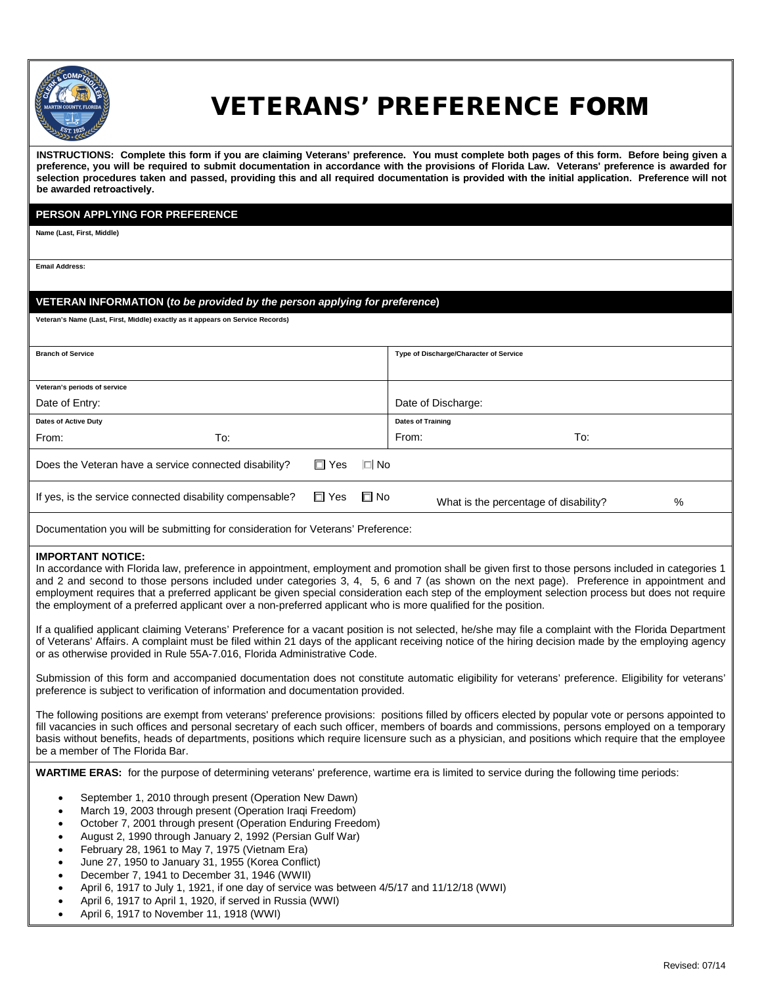

# VETERANS' PREFERENCE FORM

**INSTRUCTIONS: Complete this form if you are claiming Veterans' preference. You must complete both pages of this form. Before being given a preference, you will be required to submit documentation in accordance with the provisions of Florida Law. Veterans' preference is awarded for selection procedures taken and passed, providing this and all required documentation is provided with the initial application. Preference will not be awarded [retroactively.](mailto:lawundablake@polk-county.net)** 

## **PERSON APPLYING FOR PREFERENCE**

**Name (Last, First, Middle)**

**Email Address:**

## **VETERAN INFORMATION (***to be provided by the person applying for preference***)**

**Veteran's Name (Last, First, Middle) exactly as it appears on Service Records)**

| <b>Branch of Service</b>                                 |  |            | Type of Discharge/Character of Service |                          |                                       |   |
|----------------------------------------------------------|--|------------|----------------------------------------|--------------------------|---------------------------------------|---|
|                                                          |  |            |                                        |                          |                                       |   |
|                                                          |  |            |                                        |                          |                                       |   |
| Veteran's periods of service                             |  |            |                                        |                          |                                       |   |
| Date of Entry:                                           |  |            | Date of Discharge:                     |                          |                                       |   |
| Dates of Active Duty                                     |  |            |                                        | <b>Dates of Training</b> |                                       |   |
| To:<br>From:                                             |  |            |                                        | From:                    | To:                                   |   |
| Does the Veteran have a service connected disability?    |  | □ Yes      | $\overline{\Box}$ No                   |                          |                                       |   |
| If yes, is the service connected disability compensable? |  | $\Box$ Yes | $\square$ No                           |                          | What is the percentage of disability? | % |

Documentation you will be submitting for consideration for Veterans' Preference:

### **IMPORTANT NOTICE:**

In accordance with Florida law, preference in appointment, employment and promotion shall be given first to those persons included in categories 1 and 2 and second to those persons included under categories 3, 4, 5, 6 and 7 (as shown on the next page). Preference in appointment and employment requires that a preferred applicant be given special consideration each step of the employment selection process but does not require the employment of a preferred applicant over a non-preferred applicant who is more qualified for the position.

If a qualified applicant claiming Veterans' Preference for a vacant position is not selected, he/she may file a complaint with the Florida Department of Veterans' Affairs. A complaint must be filed within 21 days of the applicant receiving notice of the hiring decision made by the employing agency or as otherwise provided in Rule 55A-7.016, Florida Administrative Code.

Submission of this form and accompanied documentation does not constitute automatic eligibility for veterans' preference. Eligibility for veterans' preference is subject to verification of information and documentation provided.

The following positions are exempt from veterans' preference provisions: positions filled by officers elected by popular vote or persons appointed to fill vacancies in such offices and personal secretary of each such officer, members of boards and commissions, persons employed on a temporary basis without benefits, heads of departments, positions which require licensure such as a physician, and positions which require that the employee be a member of The Florida Bar.

**WARTIME ERAS:** for the purpose of determining veterans' preference, wartime era is limited to service during the following time periods:

- September 1, 2010 through present (Operation New Dawn)
- March 19, 2003 through present (Operation Iraqi Freedom)
- October 7, 2001 through present (Operation Enduring Freedom)
- August 2, 1990 through January 2, 1992 (Persian Gulf War)
- February 28, 1961 to May 7, 1975 (Vietnam Era)
- June 27, 1950 to January 31, 1955 (Korea Conflict)
- December 7, 1941 to December 31, 1946 (WWII)
- April 6, 1917 to July 1, 1921, if one day of service was between 4/5/17 and 11/12/18 (WWI)
- April 6, 1917 to April 1, 1920, if served in Russia (WWI)
- April 6, 1917 to November 11, 1918 (WWI)